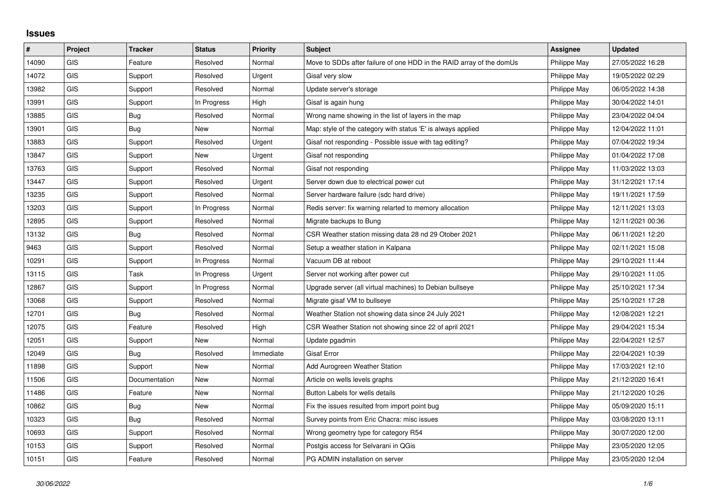## **Issues**

| $\sharp$ | Project    | <b>Tracker</b> | <b>Status</b> | <b>Priority</b> | <b>Subject</b>                                                       | <b>Assignee</b> | <b>Updated</b>   |
|----------|------------|----------------|---------------|-----------------|----------------------------------------------------------------------|-----------------|------------------|
| 14090    | <b>GIS</b> | Feature        | Resolved      | Normal          | Move to SDDs after failure of one HDD in the RAID array of the domUs | Philippe May    | 27/05/2022 16:28 |
| 14072    | GIS        | Support        | Resolved      | Urgent          | Gisaf very slow                                                      | Philippe May    | 19/05/2022 02:29 |
| 13982    | GIS        | Support        | Resolved      | Normal          | Update server's storage                                              | Philippe May    | 06/05/2022 14:38 |
| 13991    | <b>GIS</b> | Support        | In Progress   | High            | Gisaf is again hung                                                  | Philippe May    | 30/04/2022 14:01 |
| 13885    | GIS        | Bug            | Resolved      | Normal          | Wrong name showing in the list of layers in the map                  | Philippe May    | 23/04/2022 04:04 |
| 13901    | <b>GIS</b> | <b>Bug</b>     | <b>New</b>    | Normal          | Map: style of the category with status 'E' is always applied         | Philippe May    | 12/04/2022 11:01 |
| 13883    | <b>GIS</b> | Support        | Resolved      | Urgent          | Gisaf not responding - Possible issue with tag editing?              | Philippe May    | 07/04/2022 19:34 |
| 13847    | GIS        | Support        | <b>New</b>    | Urgent          | Gisaf not responding                                                 | Philippe May    | 01/04/2022 17:08 |
| 13763    | GIS        | Support        | Resolved      | Normal          | Gisaf not responding                                                 | Philippe May    | 11/03/2022 13:03 |
| 13447    | <b>GIS</b> | Support        | Resolved      | Urgent          | Server down due to electrical power cut                              | Philippe May    | 31/12/2021 17:14 |
| 13235    | <b>GIS</b> | Support        | Resolved      | Normal          | Server hardware failure (sdc hard drive)                             | Philippe May    | 19/11/2021 17:59 |
| 13203    | GIS        | Support        | In Progress   | Normal          | Redis server: fix warning relarted to memory allocation              | Philippe May    | 12/11/2021 13:03 |
| 12895    | GIS        | Support        | Resolved      | Normal          | Migrate backups to Bung                                              | Philippe May    | 12/11/2021 00:36 |
| 13132    | GIS        | Bug            | Resolved      | Normal          | CSR Weather station missing data 28 nd 29 Otober 2021                | Philippe May    | 06/11/2021 12:20 |
| 9463     | GIS        | Support        | Resolved      | Normal          | Setup a weather station in Kalpana                                   | Philippe May    | 02/11/2021 15:08 |
| 10291    | GIS        | Support        | In Progress   | Normal          | Vacuum DB at reboot                                                  | Philippe May    | 29/10/2021 11:44 |
| 13115    | GIS        | Task           | In Progress   | Urgent          | Server not working after power cut                                   | Philippe May    | 29/10/2021 11:05 |
| 12867    | GIS        | Support        | In Progress   | Normal          | Upgrade server (all virtual machines) to Debian bullseye             | Philippe May    | 25/10/2021 17:34 |
| 13068    | GIS        | Support        | Resolved      | Normal          | Migrate gisaf VM to bullseye                                         | Philippe May    | 25/10/2021 17:28 |
| 12701    | <b>GIS</b> | Bug            | Resolved      | Normal          | Weather Station not showing data since 24 July 2021                  | Philippe May    | 12/08/2021 12:21 |
| 12075    | GIS        | Feature        | Resolved      | High            | CSR Weather Station not showing since 22 of april 2021               | Philippe May    | 29/04/2021 15:34 |
| 12051    | <b>GIS</b> | Support        | <b>New</b>    | Normal          | Update pgadmin                                                       | Philippe May    | 22/04/2021 12:57 |
| 12049    | GIS        | Bug            | Resolved      | Immediate       | Gisaf Error                                                          | Philippe May    | 22/04/2021 10:39 |
| 11898    | <b>GIS</b> | Support        | <b>New</b>    | Normal          | Add Aurogreen Weather Station                                        | Philippe May    | 17/03/2021 12:10 |
| 11506    | GIS        | Documentation  | <b>New</b>    | Normal          | Article on wells levels graphs                                       | Philippe May    | 21/12/2020 16:41 |
| 11486    | GIS        | Feature        | New           | Normal          | Button Labels for wells details                                      | Philippe May    | 21/12/2020 10:26 |
| 10862    | <b>GIS</b> | Bug            | <b>New</b>    | Normal          | Fix the issues resulted from import point bug                        | Philippe May    | 05/09/2020 15:11 |
| 10323    | GIS        | Bug            | Resolved      | Normal          | Survey points from Eric Chacra: misc issues                          | Philippe May    | 03/08/2020 13:11 |
| 10693    | <b>GIS</b> | Support        | Resolved      | Normal          | Wrong geometry type for category R54                                 | Philippe May    | 30/07/2020 12:00 |
| 10153    | <b>GIS</b> | Support        | Resolved      | Normal          | Postgis access for Selvarani in QGis                                 | Philippe May    | 23/05/2020 12:05 |
| 10151    | GIS        | Feature        | Resolved      | Normal          | PG ADMIN installation on server                                      | Philippe May    | 23/05/2020 12:04 |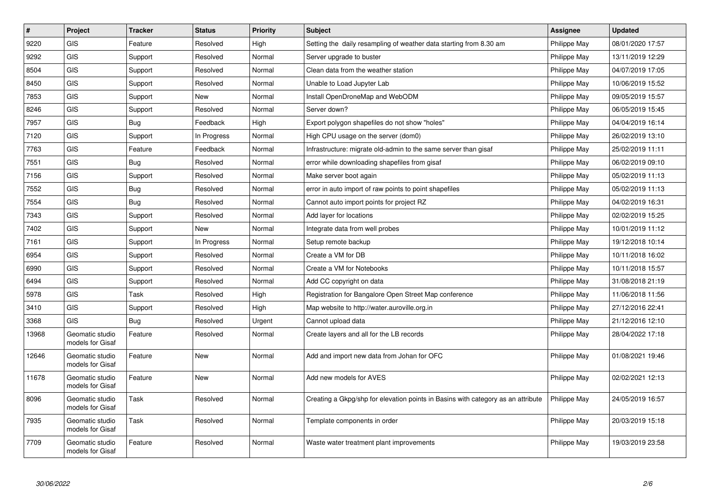| $\sharp$ | Project                             | <b>Tracker</b> | <b>Status</b> | <b>Priority</b> | <b>Subject</b>                                                                   | <b>Assignee</b> | <b>Updated</b>   |
|----------|-------------------------------------|----------------|---------------|-----------------|----------------------------------------------------------------------------------|-----------------|------------------|
| 9220     | <b>GIS</b>                          | Feature        | Resolved      | High            | Setting the daily resampling of weather data starting from 8.30 am               | Philippe May    | 08/01/2020 17:57 |
| 9292     | <b>GIS</b>                          | Support        | Resolved      | Normal          | Server upgrade to buster                                                         | Philippe May    | 13/11/2019 12:29 |
| 8504     | <b>GIS</b>                          | Support        | Resolved      | Normal          | Clean data from the weather station                                              | Philippe May    | 04/07/2019 17:05 |
| 8450     | <b>GIS</b>                          | Support        | Resolved      | Normal          | Unable to Load Jupyter Lab                                                       | Philippe May    | 10/06/2019 15:52 |
| 7853     | <b>GIS</b>                          | Support        | New           | Normal          | Install OpenDroneMap and WebODM                                                  | Philippe May    | 09/05/2019 15:57 |
| 8246     | GIS                                 | Support        | Resolved      | Normal          | Server down?                                                                     | Philippe May    | 06/05/2019 15:45 |
| 7957     | <b>GIS</b>                          | Bug            | Feedback      | High            | Export polygon shapefiles do not show "holes"                                    | Philippe May    | 04/04/2019 16:14 |
| 7120     | GIS                                 | Support        | In Progress   | Normal          | High CPU usage on the server (dom0)                                              | Philippe May    | 26/02/2019 13:10 |
| 7763     | <b>GIS</b>                          | Feature        | Feedback      | Normal          | Infrastructure: migrate old-admin to the same server than gisaf                  | Philippe May    | 25/02/2019 11:11 |
| 7551     | <b>GIS</b>                          | <b>Bug</b>     | Resolved      | Normal          | error while downloading shapefiles from gisaf                                    | Philippe May    | 06/02/2019 09:10 |
| 7156     | <b>GIS</b>                          | Support        | Resolved      | Normal          | Make server boot again                                                           | Philippe May    | 05/02/2019 11:13 |
| 7552     | <b>GIS</b>                          | Bug            | Resolved      | Normal          | error in auto import of raw points to point shapefiles                           | Philippe May    | 05/02/2019 11:13 |
| 7554     | GIS                                 | <b>Bug</b>     | Resolved      | Normal          | Cannot auto import points for project RZ                                         | Philippe May    | 04/02/2019 16:31 |
| 7343     | GIS                                 | Support        | Resolved      | Normal          | Add layer for locations                                                          | Philippe May    | 02/02/2019 15:25 |
| 7402     | <b>GIS</b>                          | Support        | New           | Normal          | Integrate data from well probes                                                  | Philippe May    | 10/01/2019 11:12 |
| 7161     | <b>GIS</b>                          | Support        | In Progress   | Normal          | Setup remote backup                                                              | Philippe May    | 19/12/2018 10:14 |
| 6954     | <b>GIS</b>                          | Support        | Resolved      | Normal          | Create a VM for DB                                                               | Philippe May    | 10/11/2018 16:02 |
| 6990     | GIS                                 | Support        | Resolved      | Normal          | Create a VM for Notebooks                                                        | Philippe May    | 10/11/2018 15:57 |
| 6494     | <b>GIS</b>                          | Support        | Resolved      | Normal          | Add CC copyright on data                                                         | Philippe May    | 31/08/2018 21:19 |
| 5978     | GIS                                 | Task           | Resolved      | High            | Registration for Bangalore Open Street Map conference                            | Philippe May    | 11/06/2018 11:56 |
| 3410     | <b>GIS</b>                          | Support        | Resolved      | High            | Map website to http://water.auroville.org.in                                     | Philippe May    | 27/12/2016 22:41 |
| 3368     | <b>GIS</b>                          | Bug            | Resolved      | Urgent          | Cannot upload data                                                               | Philippe May    | 21/12/2016 12:10 |
| 13968    | Geomatic studio<br>models for Gisaf | Feature        | Resolved      | Normal          | Create layers and all for the LB records                                         | Philippe May    | 28/04/2022 17:18 |
| 12646    | Geomatic studio<br>models for Gisaf | Feature        | New           | Normal          | Add and import new data from Johan for OFC                                       | Philippe May    | 01/08/2021 19:46 |
| 11678    | Geomatic studio<br>models for Gisaf | Feature        | <b>New</b>    | Normal          | Add new models for AVES                                                          | Philippe May    | 02/02/2021 12:13 |
| 8096     | Geomatic studio<br>models for Gisaf | Task           | Resolved      | Normal          | Creating a Gkpg/shp for elevation points in Basins with category as an attribute | Philippe May    | 24/05/2019 16:57 |
| 7935     | Geomatic studio<br>models for Gisaf | Task           | Resolved      | Normal          | Template components in order                                                     | Philippe May    | 20/03/2019 15:18 |
| 7709     | Geomatic studio<br>models for Gisaf | Feature        | Resolved      | Normal          | Waste water treatment plant improvements                                         | Philippe May    | 19/03/2019 23:58 |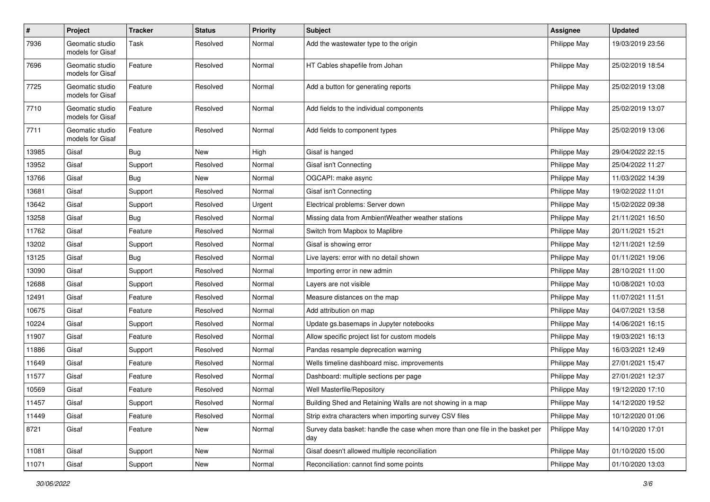| $\sharp$ | Project                             | <b>Tracker</b> | <b>Status</b> | <b>Priority</b> | <b>Subject</b>                                                                       | <b>Assignee</b> | <b>Updated</b>   |
|----------|-------------------------------------|----------------|---------------|-----------------|--------------------------------------------------------------------------------------|-----------------|------------------|
| 7936     | Geomatic studio<br>models for Gisaf | Task           | Resolved      | Normal          | Add the wastewater type to the origin                                                | Philippe May    | 19/03/2019 23:56 |
| 7696     | Geomatic studio<br>models for Gisaf | Feature        | Resolved      | Normal          | HT Cables shapefile from Johan                                                       | Philippe May    | 25/02/2019 18:54 |
| 7725     | Geomatic studio<br>models for Gisaf | Feature        | Resolved      | Normal          | Add a button for generating reports                                                  | Philippe May    | 25/02/2019 13:08 |
| 7710     | Geomatic studio<br>models for Gisaf | Feature        | Resolved      | Normal          | Add fields to the individual components                                              | Philippe May    | 25/02/2019 13:07 |
| 7711     | Geomatic studio<br>models for Gisaf | Feature        | Resolved      | Normal          | Add fields to component types                                                        | Philippe May    | 25/02/2019 13:06 |
| 13985    | Gisaf                               | Bug            | New           | High            | Gisaf is hanged                                                                      | Philippe May    | 29/04/2022 22:15 |
| 13952    | Gisaf                               | Support        | Resolved      | Normal          | Gisaf isn't Connecting                                                               | Philippe May    | 25/04/2022 11:27 |
| 13766    | Gisaf                               | Bug            | <b>New</b>    | Normal          | OGCAPI: make async                                                                   | Philippe May    | 11/03/2022 14:39 |
| 13681    | Gisaf                               | Support        | Resolved      | Normal          | Gisaf isn't Connecting                                                               | Philippe May    | 19/02/2022 11:01 |
| 13642    | Gisaf                               | Support        | Resolved      | Urgent          | Electrical problems: Server down                                                     | Philippe May    | 15/02/2022 09:38 |
| 13258    | Gisaf                               | <b>Bug</b>     | Resolved      | Normal          | Missing data from AmbientWeather weather stations                                    | Philippe May    | 21/11/2021 16:50 |
| 11762    | Gisaf                               | Feature        | Resolved      | Normal          | Switch from Mapbox to Maplibre                                                       | Philippe May    | 20/11/2021 15:21 |
| 13202    | Gisaf                               | Support        | Resolved      | Normal          | Gisaf is showing error                                                               | Philippe May    | 12/11/2021 12:59 |
| 13125    | Gisaf                               | <b>Bug</b>     | Resolved      | Normal          | Live layers: error with no detail shown                                              | Philippe May    | 01/11/2021 19:06 |
| 13090    | Gisaf                               | Support        | Resolved      | Normal          | Importing error in new admin                                                         | Philippe May    | 28/10/2021 11:00 |
| 12688    | Gisaf                               | Support        | Resolved      | Normal          | Layers are not visible                                                               | Philippe May    | 10/08/2021 10:03 |
| 12491    | Gisaf                               | Feature        | Resolved      | Normal          | Measure distances on the map                                                         | Philippe May    | 11/07/2021 11:51 |
| 10675    | Gisaf                               | Feature        | Resolved      | Normal          | Add attribution on map                                                               | Philippe May    | 04/07/2021 13:58 |
| 10224    | Gisaf                               | Support        | Resolved      | Normal          | Update gs.basemaps in Jupyter notebooks                                              | Philippe May    | 14/06/2021 16:15 |
| 11907    | Gisaf                               | Feature        | Resolved      | Normal          | Allow specific project list for custom models                                        | Philippe May    | 19/03/2021 16:13 |
| 11886    | Gisaf                               | Support        | Resolved      | Normal          | Pandas resample deprecation warning                                                  | Philippe May    | 16/03/2021 12:49 |
| 11649    | Gisaf                               | Feature        | Resolved      | Normal          | Wells timeline dashboard misc. improvements                                          | Philippe May    | 27/01/2021 15:47 |
| 11577    | Gisaf                               | Feature        | Resolved      | Normal          | Dashboard: multiple sections per page                                                | Philippe May    | 27/01/2021 12:37 |
| 10569    | Gisaf                               | Feature        | Resolved      | Normal          | Well Masterfile/Repository                                                           | Philippe May    | 19/12/2020 17:10 |
| 11457    | Gisaf                               | Support        | Resolved      | Normal          | Building Shed and Retaining Walls are not showing in a map                           | Philippe May    | 14/12/2020 19:52 |
| 11449    | Gisaf                               | Feature        | Resolved      | Normal          | Strip extra characters when importing survey CSV files                               | Philippe May    | 10/12/2020 01:06 |
| 8721     | Gisaf                               | Feature        | New           | Normal          | Survey data basket: handle the case when more than one file in the basket per<br>day | Philippe May    | 14/10/2020 17:01 |
| 11081    | Gisaf                               | Support        | New           | Normal          | Gisaf doesn't allowed multiple reconciliation                                        | Philippe May    | 01/10/2020 15:00 |
| 11071    | Gisaf                               | Support        | New           | Normal          | Reconciliation: cannot find some points                                              | Philippe May    | 01/10/2020 13:03 |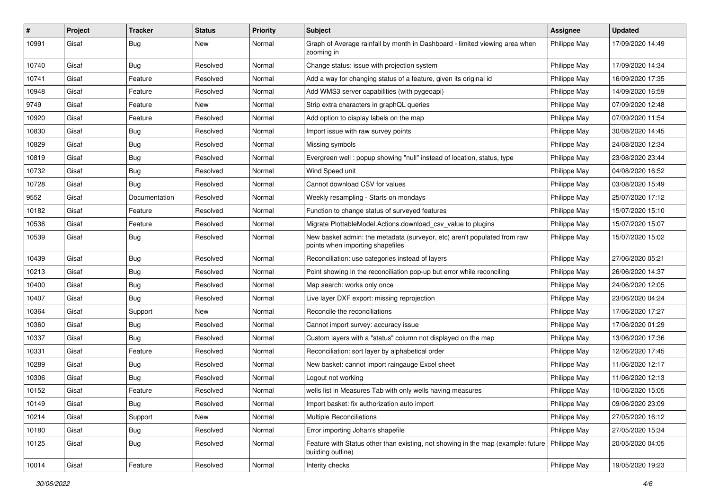| #     | Project | <b>Tracker</b> | <b>Status</b> | <b>Priority</b> | Subject                                                                                                              | <b>Assignee</b> | <b>Updated</b>   |
|-------|---------|----------------|---------------|-----------------|----------------------------------------------------------------------------------------------------------------------|-----------------|------------------|
| 10991 | Gisaf   | <b>Bug</b>     | New           | Normal          | Graph of Average rainfall by month in Dashboard - limited viewing area when<br>zooming in                            | Philippe May    | 17/09/2020 14:49 |
| 10740 | Gisaf   | Bug            | Resolved      | Normal          | Change status: issue with projection system                                                                          | Philippe May    | 17/09/2020 14:34 |
| 10741 | Gisaf   | Feature        | Resolved      | Normal          | Add a way for changing status of a feature, given its original id                                                    | Philippe May    | 16/09/2020 17:35 |
| 10948 | Gisaf   | Feature        | Resolved      | Normal          | Add WMS3 server capabilities (with pygeoapi)                                                                         | Philippe May    | 14/09/2020 16:59 |
| 9749  | Gisaf   | Feature        | New           | Normal          | Strip extra characters in graphQL queries                                                                            | Philippe May    | 07/09/2020 12:48 |
| 10920 | Gisaf   | Feature        | Resolved      | Normal          | Add option to display labels on the map                                                                              | Philippe May    | 07/09/2020 11:54 |
| 10830 | Gisaf   | Bug            | Resolved      | Normal          | Import issue with raw survey points                                                                                  | Philippe May    | 30/08/2020 14:45 |
| 10829 | Gisaf   | <b>Bug</b>     | Resolved      | Normal          | Missing symbols                                                                                                      | Philippe May    | 24/08/2020 12:34 |
| 10819 | Gisaf   | Bug            | Resolved      | Normal          | Evergreen well: popup showing "null" instead of location, status, type                                               | Philippe May    | 23/08/2020 23:44 |
| 10732 | Gisaf   | Bug            | Resolved      | Normal          | Wind Speed unit                                                                                                      | Philippe May    | 04/08/2020 16:52 |
| 10728 | Gisaf   | <b>Bug</b>     | Resolved      | Normal          | Cannot download CSV for values                                                                                       | Philippe May    | 03/08/2020 15:49 |
| 9552  | Gisaf   | Documentation  | Resolved      | Normal          | Weekly resampling - Starts on mondays                                                                                | Philippe May    | 25/07/2020 17:12 |
| 10182 | Gisaf   | Feature        | Resolved      | Normal          | Function to change status of surveyed features                                                                       | Philippe May    | 15/07/2020 15:10 |
| 10536 | Gisaf   | Feature        | Resolved      | Normal          | Migrate PlottableModel.Actions.download_csv_value to plugins                                                         | Philippe May    | 15/07/2020 15:07 |
| 10539 | Gisaf   | Bug            | Resolved      | Normal          | New basket admin: the metadata (surveyor, etc) aren't populated from raw<br>points when importing shapefiles         | Philippe May    | 15/07/2020 15:02 |
| 10439 | Gisaf   | Bug            | Resolved      | Normal          | Reconciliation: use categories instead of layers                                                                     | Philippe May    | 27/06/2020 05:21 |
| 10213 | Gisaf   | <b>Bug</b>     | Resolved      | Normal          | Point showing in the reconciliation pop-up but error while reconciling                                               | Philippe May    | 26/06/2020 14:37 |
| 10400 | Gisaf   | Bug            | Resolved      | Normal          | Map search: works only once                                                                                          | Philippe May    | 24/06/2020 12:05 |
| 10407 | Gisaf   | Bug            | Resolved      | Normal          | Live layer DXF export: missing reprojection                                                                          | Philippe May    | 23/06/2020 04:24 |
| 10364 | Gisaf   | Support        | <b>New</b>    | Normal          | Reconcile the reconciliations                                                                                        | Philippe May    | 17/06/2020 17:27 |
| 10360 | Gisaf   | Bug            | Resolved      | Normal          | Cannot import survey: accuracy issue                                                                                 | Philippe May    | 17/06/2020 01:29 |
| 10337 | Gisaf   | <b>Bug</b>     | Resolved      | Normal          | Custom layers with a "status" column not displayed on the map                                                        | Philippe May    | 13/06/2020 17:36 |
| 10331 | Gisaf   | Feature        | Resolved      | Normal          | Reconciliation: sort layer by alphabetical order                                                                     | Philippe May    | 12/06/2020 17:45 |
| 10289 | Gisaf   | <b>Bug</b>     | Resolved      | Normal          | New basket: cannot import raingauge Excel sheet                                                                      | Philippe May    | 11/06/2020 12:17 |
| 10306 | Gisaf   | Bug            | Resolved      | Normal          | Logout not working                                                                                                   | Philippe May    | 11/06/2020 12:13 |
| 10152 | Gisaf   | Feature        | Resolved      | Normal          | wells list in Measures Tab with only wells having measures                                                           | Philippe May    | 10/06/2020 15:05 |
| 10149 | Gisaf   | Bug            | Resolved      | Normal          | Import basket: fix authorization auto import                                                                         | Philippe May    | 09/06/2020 23:09 |
| 10214 | Gisaf   | Support        | New           | Normal          | Multiple Reconciliations                                                                                             | Philippe May    | 27/05/2020 16:12 |
| 10180 | Gisaf   | Bug            | Resolved      | Normal          | Error importing Johan's shapefile                                                                                    | Philippe May    | 27/05/2020 15:34 |
| 10125 | Gisaf   | <b>Bug</b>     | Resolved      | Normal          | Feature with Status other than existing, not showing in the map (example: future   Philippe May<br>building outline) |                 | 20/05/2020 04:05 |
| 10014 | Gisaf   | Feature        | Resolved      | Normal          | Interity checks                                                                                                      | Philippe May    | 19/05/2020 19:23 |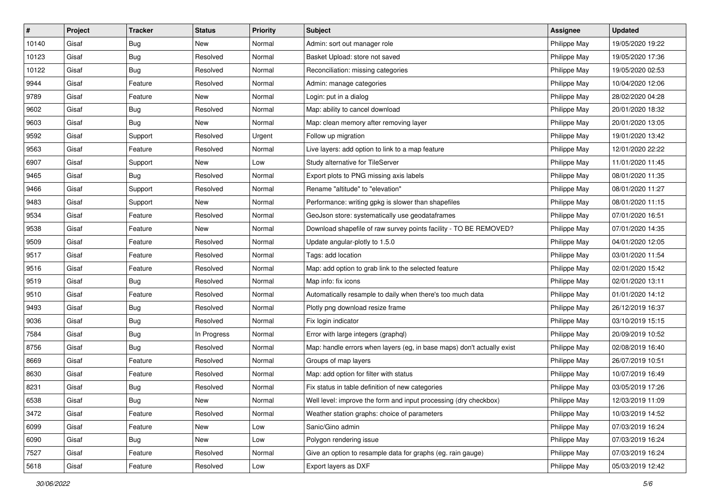| #     | Project | <b>Tracker</b> | <b>Status</b> | <b>Priority</b> | <b>Subject</b>                                                         | <b>Assignee</b> | <b>Updated</b>   |
|-------|---------|----------------|---------------|-----------------|------------------------------------------------------------------------|-----------------|------------------|
| 10140 | Gisaf   | <b>Bug</b>     | New           | Normal          | Admin: sort out manager role                                           | Philippe May    | 19/05/2020 19:22 |
| 10123 | Gisaf   | <b>Bug</b>     | Resolved      | Normal          | Basket Upload: store not saved                                         | Philippe May    | 19/05/2020 17:36 |
| 10122 | Gisaf   | <b>Bug</b>     | Resolved      | Normal          | Reconciliation: missing categories                                     | Philippe May    | 19/05/2020 02:53 |
| 9944  | Gisaf   | Feature        | Resolved      | Normal          | Admin: manage categories                                               | Philippe May    | 10/04/2020 12:06 |
| 9789  | Gisaf   | Feature        | <b>New</b>    | Normal          | Login: put in a dialog                                                 | Philippe May    | 28/02/2020 04:28 |
| 9602  | Gisaf   | <b>Bug</b>     | Resolved      | Normal          | Map: ability to cancel download                                        | Philippe May    | 20/01/2020 18:32 |
| 9603  | Gisaf   | <b>Bug</b>     | New           | Normal          | Map: clean memory after removing layer                                 | Philippe May    | 20/01/2020 13:05 |
| 9592  | Gisaf   | Support        | Resolved      | Urgent          | Follow up migration                                                    | Philippe May    | 19/01/2020 13:42 |
| 9563  | Gisaf   | Feature        | Resolved      | Normal          | Live layers: add option to link to a map feature                       | Philippe May    | 12/01/2020 22:22 |
| 6907  | Gisaf   | Support        | New           | Low             | Study alternative for TileServer                                       | Philippe May    | 11/01/2020 11:45 |
| 9465  | Gisaf   | <b>Bug</b>     | Resolved      | Normal          | Export plots to PNG missing axis labels                                | Philippe May    | 08/01/2020 11:35 |
| 9466  | Gisaf   | Support        | Resolved      | Normal          | Rename "altitude" to "elevation"                                       | Philippe May    | 08/01/2020 11:27 |
| 9483  | Gisaf   | Support        | New           | Normal          | Performance: writing gpkg is slower than shapefiles                    | Philippe May    | 08/01/2020 11:15 |
| 9534  | Gisaf   | Feature        | Resolved      | Normal          | GeoJson store: systematically use geodataframes                        | Philippe May    | 07/01/2020 16:51 |
| 9538  | Gisaf   | Feature        | <b>New</b>    | Normal          | Download shapefile of raw survey points facility - TO BE REMOVED?      | Philippe May    | 07/01/2020 14:35 |
| 9509  | Gisaf   | Feature        | Resolved      | Normal          | Update angular-plotly to 1.5.0                                         | Philippe May    | 04/01/2020 12:05 |
| 9517  | Gisaf   | Feature        | Resolved      | Normal          | Tags: add location                                                     | Philippe May    | 03/01/2020 11:54 |
| 9516  | Gisaf   | Feature        | Resolved      | Normal          | Map: add option to grab link to the selected feature                   | Philippe May    | 02/01/2020 15:42 |
| 9519  | Gisaf   | <b>Bug</b>     | Resolved      | Normal          | Map info: fix icons                                                    | Philippe May    | 02/01/2020 13:11 |
| 9510  | Gisaf   | Feature        | Resolved      | Normal          | Automatically resample to daily when there's too much data             | Philippe May    | 01/01/2020 14:12 |
| 9493  | Gisaf   | <b>Bug</b>     | Resolved      | Normal          | Plotly png download resize frame                                       | Philippe May    | 26/12/2019 16:37 |
| 9036  | Gisaf   | <b>Bug</b>     | Resolved      | Normal          | Fix login indicator                                                    | Philippe May    | 03/10/2019 15:15 |
| 7584  | Gisaf   | Bug            | In Progress   | Normal          | Error with large integers (graphql)                                    | Philippe May    | 20/09/2019 10:52 |
| 8756  | Gisaf   | Bug            | Resolved      | Normal          | Map: handle errors when layers (eg, in base maps) don't actually exist | Philippe May    | 02/08/2019 16:40 |
| 8669  | Gisaf   | Feature        | Resolved      | Normal          | Groups of map layers                                                   | Philippe May    | 26/07/2019 10:51 |
| 8630  | Gisaf   | Feature        | Resolved      | Normal          | Map: add option for filter with status                                 | Philippe May    | 10/07/2019 16:49 |
| 8231  | Gisaf   | <b>Bug</b>     | Resolved      | Normal          | Fix status in table definition of new categories                       | Philippe May    | 03/05/2019 17:26 |
| 6538  | Gisaf   | <b>Bug</b>     | New           | Normal          | Well level: improve the form and input processing (dry checkbox)       | Philippe May    | 12/03/2019 11:09 |
| 3472  | Gisaf   | Feature        | Resolved      | Normal          | Weather station graphs: choice of parameters                           | Philippe May    | 10/03/2019 14:52 |
| 6099  | Gisaf   | Feature        | New           | Low             | Sanic/Gino admin                                                       | Philippe May    | 07/03/2019 16:24 |
| 6090  | Gisaf   | Bug            | New           | Low             | Polygon rendering issue                                                | Philippe May    | 07/03/2019 16:24 |
| 7527  | Gisaf   | Feature        | Resolved      | Normal          | Give an option to resample data for graphs (eg. rain gauge)            | Philippe May    | 07/03/2019 16:24 |
| 5618  | Gisaf   | Feature        | Resolved      | Low             | Export layers as DXF                                                   | Philippe May    | 05/03/2019 12:42 |